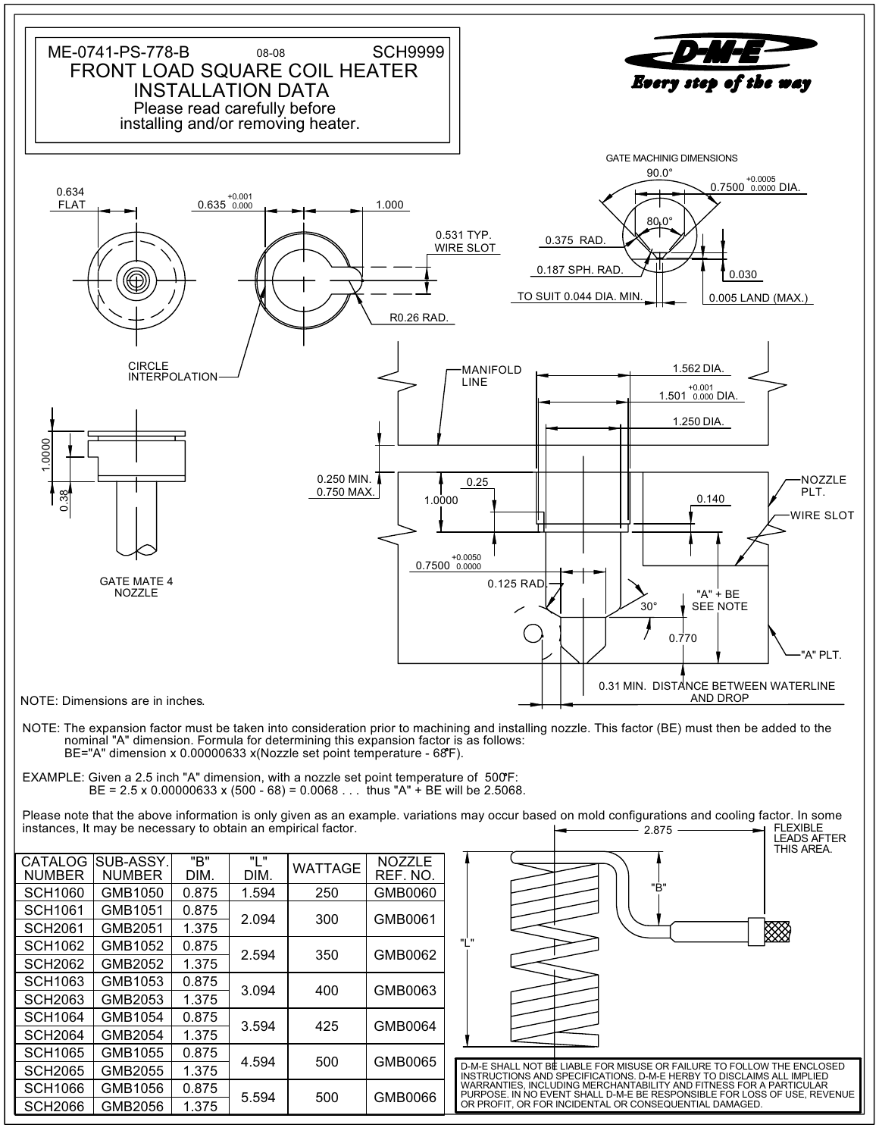

NOTE: The expansion factor must be taken into consideration prior to machining and installing nozzle. This factor (BE) must then be added to the nominal "A" dimension. Formula for determining this expansion factor is as follows: BE="A" dimension x 0.00000633 x(Nozzle set point temperature - 68 F).

 $BE = 2.5 \times 0.00000633 \times (500 - 68) = 0.0068...$  thus "A" + BE will be 2.5068. EXAMPLE: Given a 2.5 inch "A" dimension, with a nozzle set point temperature of 500F:

Please note that the above information is only given as an example. variations may occur based on mold configurations and cooling factor. In some instances, It may be necessary to obtain an empirical factor. 2.875 FLEXIBLE

| CATALOG<br><b>NUMBER</b> | SUB-ASSY.<br><b>NUMBER</b> | "B"<br>DIM. | יי ויי<br>DIM. | <b>WATTAGE</b> | NOZZLE<br>REF. NO. |
|--------------------------|----------------------------|-------------|----------------|----------------|--------------------|
| <b>SCH1060</b>           | GMB1050                    | 0.875       | 1.594          | 250            | GMB0060            |
| <b>SCH1061</b>           | GMB1051                    | 0.875       | 2.094          | 300            | GMB0061            |
| <b>SCH2061</b>           | GMB2051                    | 1.375       |                |                |                    |
| <b>SCH1062</b>           | GMB1052                    | 0.875       | 2.594          | 350            | GMB0062            |
| <b>SCH2062</b>           | GMB2052                    | 1.375       |                |                |                    |
| <b>SCH1063</b>           | GMB1053                    | 0.875       | 3.094          | 400            | GMB0063            |
| <b>SCH2063</b>           | GMB2053                    | 1.375       |                |                |                    |
| <b>SCH1064</b>           | GMB1054                    | 0.875       | 3.594          | 425            | GMB0064            |
| <b>SCH2064</b>           | GMB2054                    | 1.375       |                |                |                    |
| <b>SCH1065</b>           | GMB1055                    | 0.875       | 4.594          | 500            | GMB0065            |
| <b>SCH2065</b>           | GMB2055                    | 1.375       |                |                |                    |
| <b>SCH1066</b>           | GMB1056                    | 0.875       | 5.594          | 500            | GMB0066            |
| <b>SCH2066</b>           | GMB2056                    | 1.375       |                |                |                    |